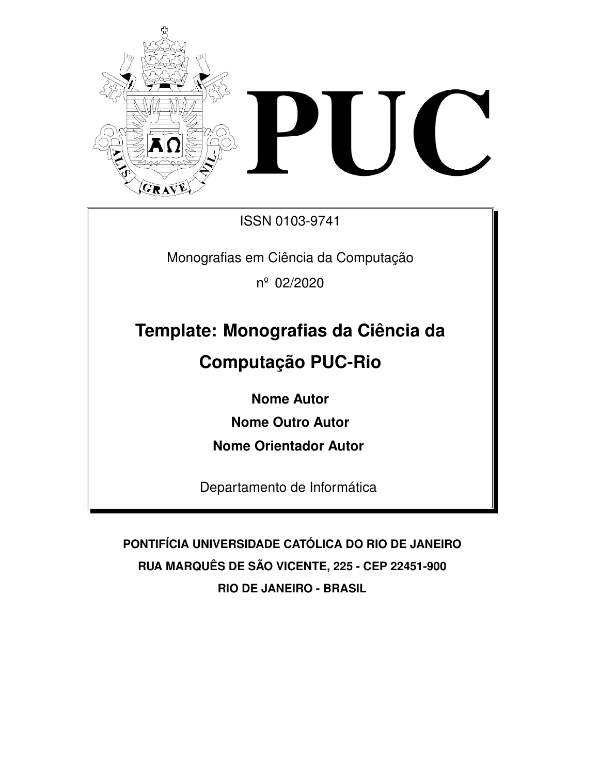

ISSN 0103-9741

Monografias em Ciência da Computação

nº 02/2020

# **Template: Monografias da Ciência da**

## **Computação PUC-Rio**

**Nome Autor**

**Nome Outro Autor**

**Nome Orientador Autor**

Departamento de Informática

**PONTIFÍCIA UNIVERSIDADE CATÓLICA DO RIO DE JANEIRO RUA MARQUÊS DE SÃO VICENTE, 225 - CEP 22451-900 RIO DE JANEIRO - BRASIL**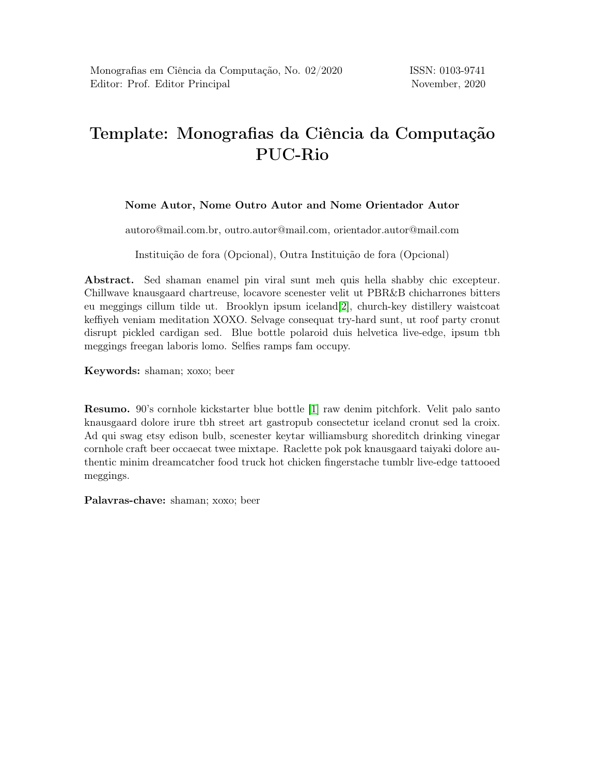### Template: Monografias da Ciência da Computação PUC-Rio

#### Nome Autor, Nome Outro Autor and Nome Orientador Autor

autoro@mail.com.br, outro.autor@mail.com, orientador.autor@mail.com

Instituição de fora (Opcional), Outra Instituição de fora (Opcional)

Abstract. Sed shaman enamel pin viral sunt meh quis hella shabby chic excepteur. Chillwave knausgaard chartreuse, locavore scenester velit ut PBR&B chicharrones bitters eu meggings cillum tilde ut. Brooklyn ipsum iceland[\[2\]](#page-4-0), church-key distillery waistcoat keffiyeh veniam meditation XOXO. Selvage consequat try-hard sunt, ut roof party cronut disrupt pickled cardigan sed. Blue bottle polaroid duis helvetica live-edge, ipsum tbh meggings freegan laboris lomo. Selfies ramps fam occupy.

Keywords: shaman; xoxo; beer

Resumo. 90's cornhole kickstarter blue bottle [\[1\]](#page-4-1) raw denim pitchfork. Velit palo santo knausgaard dolore irure tbh street art gastropub consectetur iceland cronut sed la croix. Ad qui swag etsy edison bulb, scenester keytar williamsburg shoreditch drinking vinegar cornhole craft beer occaecat twee mixtape. Raclette pok pok knausgaard taiyaki dolore authentic minim dreamcatcher food truck hot chicken fingerstache tumblr live-edge tattooed meggings.

Palavras-chave: shaman; xoxo; beer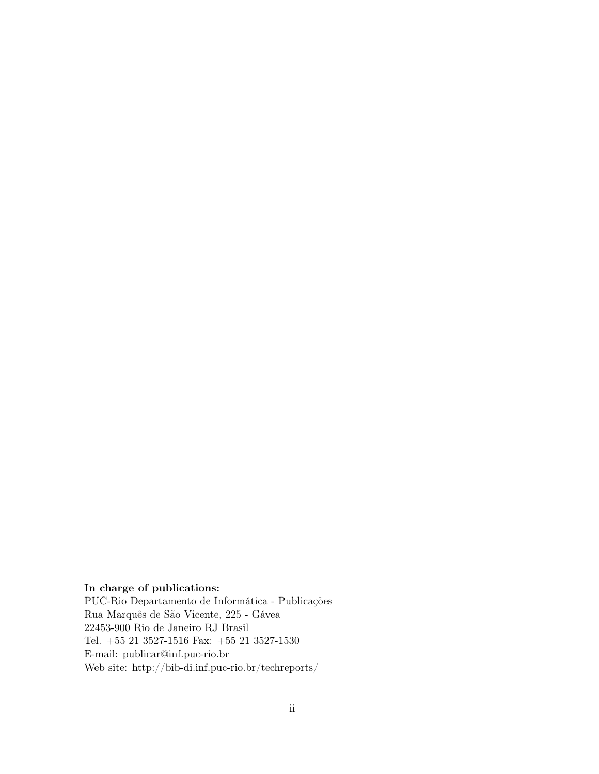#### In charge of publications:

PUC-Rio Departamento de Informática - Publicações Rua Marquês de São Vicente, 225 - Gávea 22453-900 Rio de Janeiro RJ Brasil Tel. +55 21 3527-1516 Fax: +55 21 3527-1530 E-mail: publicar@inf.puc-rio.br Web site: http://bib-di.inf.puc-rio.br/techreports/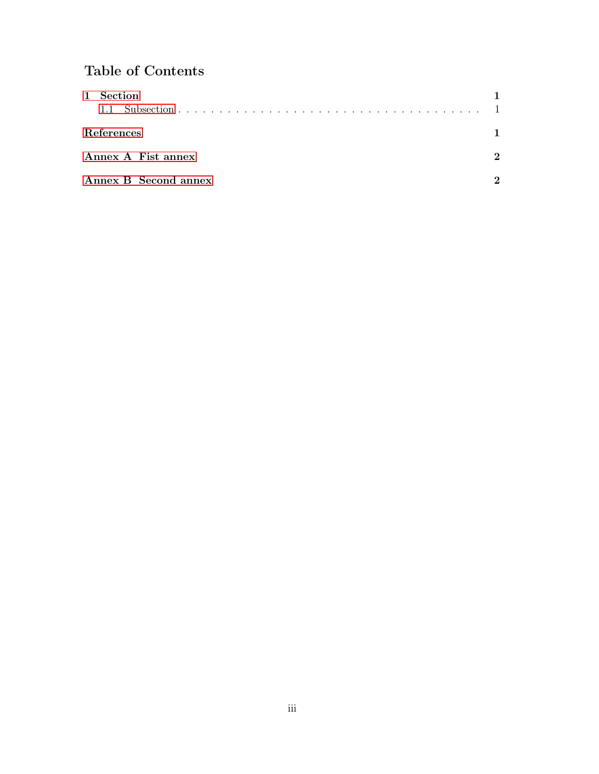### Table of Contents

| 1 Section            |   |
|----------------------|---|
| References           |   |
| Annex A Fist annex   | 2 |
| Annex B Second annex | 2 |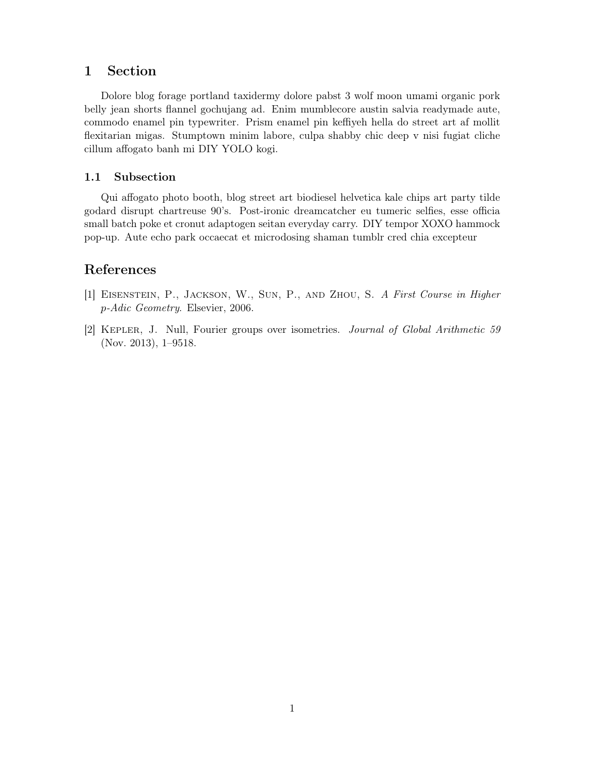#### <span id="page-4-2"></span>1 Section

Dolore blog forage portland taxidermy dolore pabst 3 wolf moon umami organic pork belly jean shorts flannel gochujang ad. Enim mumblecore austin salvia readymade aute, commodo enamel pin typewriter. Prism enamel pin keffiyeh hella do street art af mollit flexitarian migas. Stumptown minim labore, culpa shabby chic deep v nisi fugiat cliche cillum affogato banh mi DIY YOLO kogi.

#### <span id="page-4-3"></span>1.1 Subsection

Qui affogato photo booth, blog street art biodiesel helvetica kale chips art party tilde godard disrupt chartreuse 90's. Post-ironic dreamcatcher eu tumeric selfies, esse officia small batch poke et cronut adaptogen seitan everyday carry. DIY tempor XOXO hammock pop-up. Aute echo park occaecat et microdosing shaman tumblr cred chia excepteur

#### References

- <span id="page-4-1"></span>[1] Eisenstein, P., Jackson, W., Sun, P., and Zhou, S. A First Course in Higher p-Adic Geometry. Elsevier, 2006.
- <span id="page-4-0"></span>[2] Kepler, J. Null, Fourier groups over isometries. Journal of Global Arithmetic 59 (Nov. 2013), 1–9518.